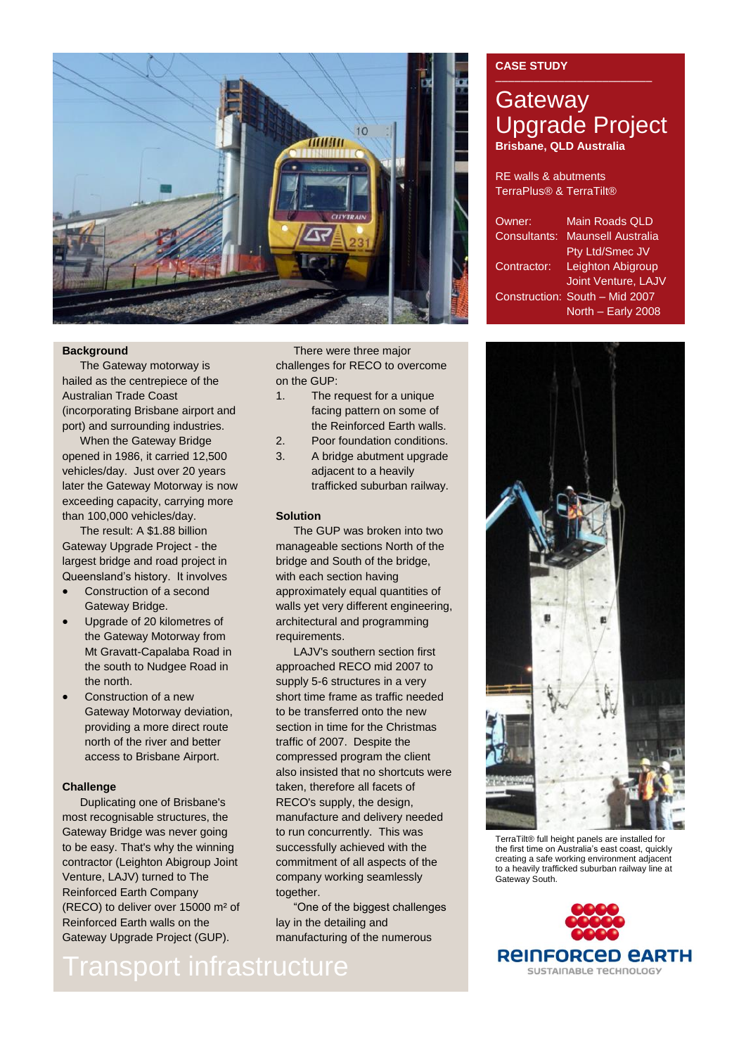

### **Background**

The Gateway motorway is hailed as the centrepiece of the Australian Trade Coast (incorporating Brisbane airport and port) and surrounding industries.

When the Gateway Bridge opened in 1986, it carried 12,500 vehicles/day. Just over 20 years later the Gateway Motorway is now exceeding capacity, carrying more than 100,000 vehicles/day.

The result: A \$1.88 billion Gateway Upgrade Project - the largest bridge and road project in Queensland's history. It involves

- Construction of a second Gateway Bridge.
- Upgrade of 20 kilometres of the Gateway Motorway from Mt Gravatt-Capalaba Road in the south to Nudgee Road in the north.
- Construction of a new Gateway Motorway deviation, providing a more direct route north of the river and better access to Brisbane Airport.

### **Challenge**

Duplicating one of Brisbane's most recognisable structures, the Gateway Bridge was never going to be easy. That's why the winning contractor (Leighton Abigroup Joint Venture, LAJV) turned to The Reinforced Earth Company (RECO) to deliver over 15000 m² of Reinforced Earth walls on the Gateway Upgrade Project (GUP).

There were three major challenges for RECO to overcome on the GUP:

- 1. The request for a unique facing pattern on some of the Reinforced Earth walls.
- 2. Poor foundation conditions.
- 3. A bridge abutment upgrade adjacent to a heavily trafficked suburban railway.

### **Solution**

The GUP was broken into two manageable sections North of the bridge and South of the bridge, with each section having approximately equal quantities of walls yet very different engineering, architectural and programming requirements.

LAJV's southern section first approached RECO mid 2007 to supply 5-6 structures in a very short time frame as traffic needed to be transferred onto the new section in time for the Christmas traffic of 2007. Despite the compressed program the client also insisted that no shortcuts were taken, therefore all facets of RECO's supply, the design, manufacture and delivery needed to run concurrently. This was successfully achieved with the commitment of all aspects of the company working seamlessly together.

"One of the biggest challenges lay in the detailing and manufacturing of the numerous

### **CASE STUDY**

## **Gateway** Upgrade Project **Brisbane, QLD Australia**

RE walls & abutments TerraPlus® & TerraTilt®

| Owner:       | <b>Main Roads QLD</b>          |
|--------------|--------------------------------|
| Consultants: | <b>Maunsell Australia</b>      |
|              | Pty Ltd/Smec JV                |
| Contractor:  | <b>Leighton Abigroup</b>       |
|              | <b>Joint Venture, LAJV</b>     |
|              | Construction: South - Mid 2007 |
|              | North - Early 2008             |



TerraTilt® full height panels are installed for the first time on Australia's east coast, quickly creating a safe working environment adjacent to a heavily trafficked suburban railway line at Gateway South.



# Transport infrastructure